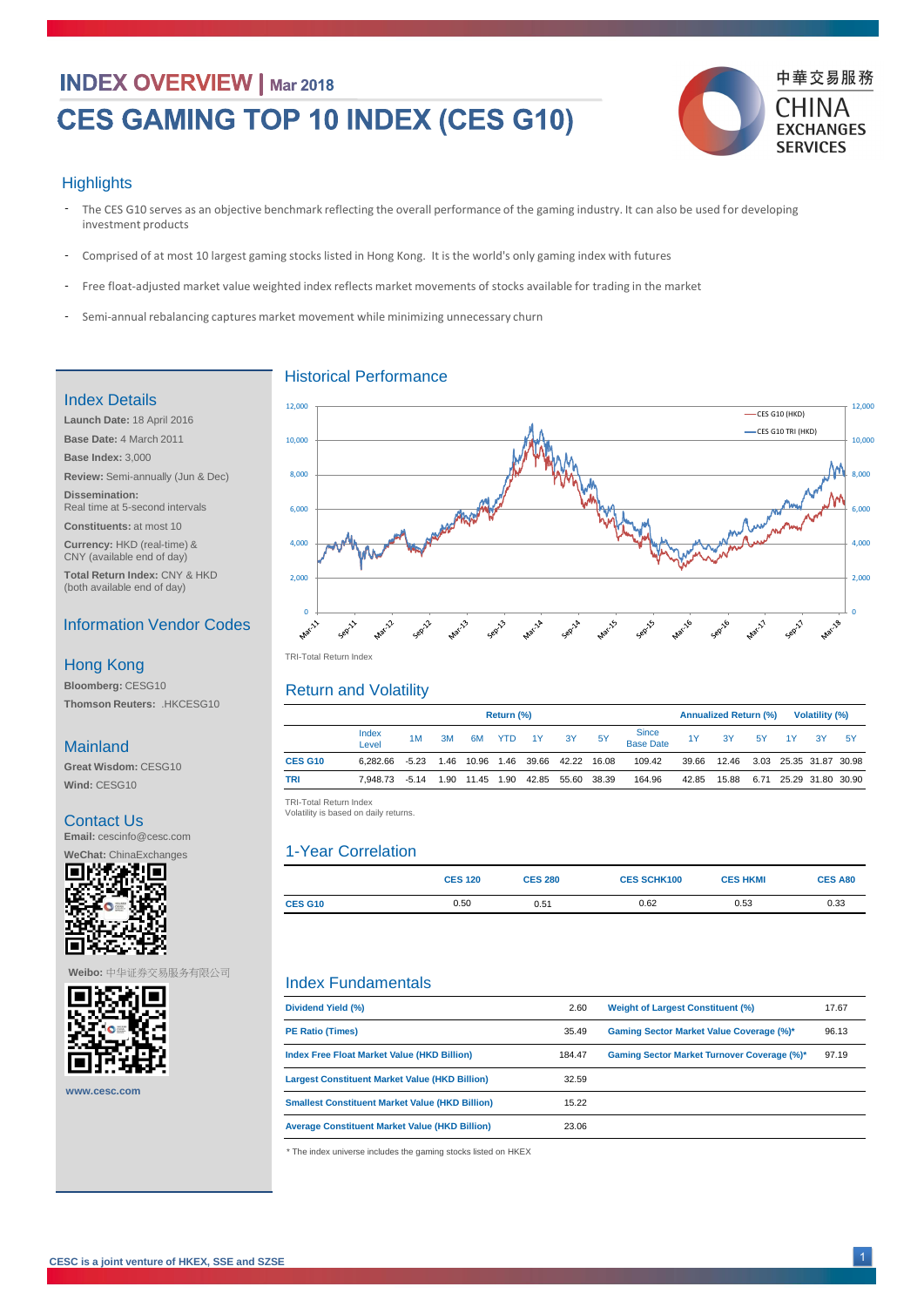## **INDEX OVERVIEW | Mar 2018**

# CES GAMING TOP 10 INDEX (CES G10)



#### **Highlights**

|                | Return (%)     |         |      |            |      |    |                        |    | <b>Annualized Return (%)</b> |       |       |      | <b>Volatility (%)</b> |    |                        |
|----------------|----------------|---------|------|------------|------|----|------------------------|----|------------------------------|-------|-------|------|-----------------------|----|------------------------|
|                | Index<br>Level | 1M      | 3M   | 6M         | YTD  | 1Y | <b>3Y</b>              | 5Y | Since<br>Base Date           | 1Y    | 3Y    | 5Y   | 1Y                    | 3Y | -5Y                    |
| <b>CES G10</b> | 6.282.66       | $-5.23$ |      | 1.46 10.96 |      |    | 1.46 39.66 42.22 16.08 |    | 109.42                       | 39.66 | 12.46 |      |                       |    | 3.03 25.35 31.87 30.98 |
| <b>TRI</b>     | 7.948.73       | $-5.14$ | 1.90 | 11.45      | 1.90 |    | 42.85 55.60 38.39      |    | 164.96                       | 42.85 | 15.88 | 6.71 |                       |    | 25.29 31.80 30.90      |

- Free float-adjusted market value weighted index reflects market movements of stocks available for trading in the market -
- Semi-annual rebalancing captures market movement while minimizing unnecessary churn  $-$

| Dividend Yield (%)                                     | 2.60   | <b>Weight of Largest Constituent (%)</b>           | 17.67 |
|--------------------------------------------------------|--------|----------------------------------------------------|-------|
| <b>PE Ratio (Times)</b>                                | 35.49  | <b>Gaming Sector Market Value Coverage (%)*</b>    | 96.13 |
| <b>Index Free Float Market Value (HKD Billion)</b>     | 184.47 | <b>Gaming Sector Market Turnover Coverage (%)*</b> | 97.19 |
| <b>Largest Constituent Market Value (HKD Billion)</b>  | 32.59  |                                                    |       |
| <b>Smallest Constituent Market Value (HKD Billion)</b> | 15.22  |                                                    |       |
| <b>Average Constituent Market Value (HKD Billion)</b>  | 23.06  |                                                    |       |
|                                                        |        |                                                    |       |

TRI -Total Return Index TRI-Total Return Index

TRI-Total Return Index Volatility is based on daily returns. Volatility is based on daily returns.

- The CES G10 serves as an objective benchmark reflecting the overall performance of the gaming industry. It can also be used for developing investment products -
- Comprised of at most 10 largest gaming stocks listed in Hong Kong. It is the world's only gaming index with futures -

|                | <b>CES 120</b> | <b>CES 280</b> | <b>CES SCHK100</b> | <b>CES HKMI</b> | <b>CES A80</b> |
|----------------|----------------|----------------|--------------------|-----------------|----------------|
| <b>CES G10</b> | 0.50           | 0.51           | 0.62               | 0.53            | 0.33           |

Index Fundamentals



Historical Performance

#### Return and Volatility

### 1-Year Correlation

#### Index Details

**Launch Date:** 18 April 2016

**Base Date:** 4 March 2011

**Base Index:** 3,000

**Review:** Semi-annually (Jun & Dec)

**Dissemination:**  Real time at 5-second intervals

**Constituents:** at most 10

**Currency:** HKD (real-time) & CNY (available end of day)

**Total Return Index:** CNY & HKD (both available end of day)

#### Information Vendor Codes

**Bloomberg:** CESG10 **Thomson Reuters:** .HKCESG10

#### Hong Kong

#### Mainland

**Great Wisdom:** CESG10 **Wind:** CESG10

Contact Us **Email:** cescinfo@cesc.com

**WeChat:** ChinaExchanges



**CESC is a joint venture of HKEX, SSE and SZSE**



**Weibo:** 中华证券交易服务有限公司



**www.cesc.com**

\* The index universe includes the gaming stocks listed on HKEX